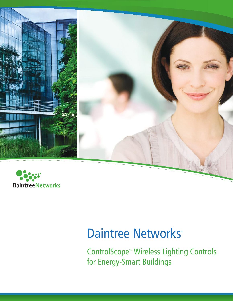

# Daintree Networks<sup>®</sup>

ControlScope™ Wireless Lighting Controls for Energy-Smart Buildings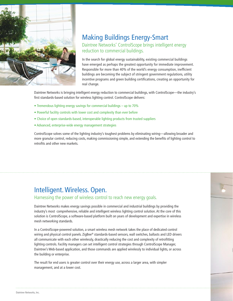

#### Making Buildings Energy-Smart

#### Daintree Networks' ControlScope brings intelligent energy reduction to commercial buildings.

In the search for global energy sustainability, existing commercial buildings have emerged as perhaps the greatest opportunity for immediate improvement. Responsible for more than 40% of the world's energy consumption, inefficient buildings are becoming the subject of stringent government regulations, utility incentive programs and green building certifications, creating an opportunity for real change.

Daintree Networks is bringing intelligent energy reduction to commercial buildings, with ControlScope—the industry's first standards-based solution for wireless lighting control. ControlScope delivers:

- Tremendous lighting energy savings for commercial buildings up to 70%
- Powerful facility controls with lower cost and complexity than ever before
- Choice of open standards-based, interoperable lighting products from trusted suppliers
- Advanced, enterprise-wide energy management strategies

ControlScope solves some of the lighting industry's toughest problems by eliminating wiring—allowing broader and more granular control, reducing costs, making commissioning simple, and extending the benefits of lighting control to retrofits and other new markets.

#### Intelligent. Wireless. Open.

Harnessing the power of wireless control to reach new energy goals.

Daintree Networks makes energy savings possible in commercial and industrial buildings by providing the industry's most comprehensive, reliable and intelligent wireless lighting control solution. At the core of this solution is ControlScope, a software-based platform built on years of development and expertise in wireless mesh networking standards.

In a ControlScope-powered solution, a smart wireless mesh network takes the place of dedicated control wiring and physical control panels. ZigBee® standards-based sensors, wall switches, ballasts and LED drivers all communicate with each other wirelessly, drastically reducing the cost and complexity of retrofitting lighting controls. Facility managers can set intelligent control strategies through ControlScope Manager, Daintree's Web-based application, and those commands are applied wirelessly to individual lights, or across the building or enterprise.

The result for end users is greater control over their energy use, across a larger area, with simpler management, and at a lower cost.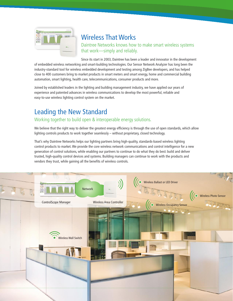

## Wireless That Works

Daintree Networks knows how to make smart wireless systems that work—simply and reliably.

Since its start in 2003, Daintree has been a leader and innovator in the development of embedded wireless networking and smart-building technologies. Our Sensor Network Analyzer has long been the industry-standard tool for wireless embedded development and testing among ZigBee developers, and has helped close to 400 customers bring to market products in smart meters and smart energy, home and commercial building automation, smart lighting, health care, telecommunications, consumer products and more.

Joined by established leaders in the lighting and building management industry, we have applied our years of experience and patented advances in wireless communications to develop the most powerful, reliable and easy-to-use wireless lighting control system on the market.

## Leading the New Standard

#### Working together to build open & interoperable energy solutions.

We believe that the right way to deliver the greatest energy efficiency is through the use of open standards, which allow lighting controls products to work together seamlessly – without proprietary, closed technology.

That's why Daintree Networks helps our lighting partners bring high-quality, standards-based wireless lighting control products to market. We provide the core wireless network communications and control intelligence for a new generation of control solutions, while enabling our partners to continue to do what they do best: build and deliver trusted, high-quality control devices and systems. Building managers can continue to work with the products and vendors they trust, while gaining all the benefits of wireless controls.